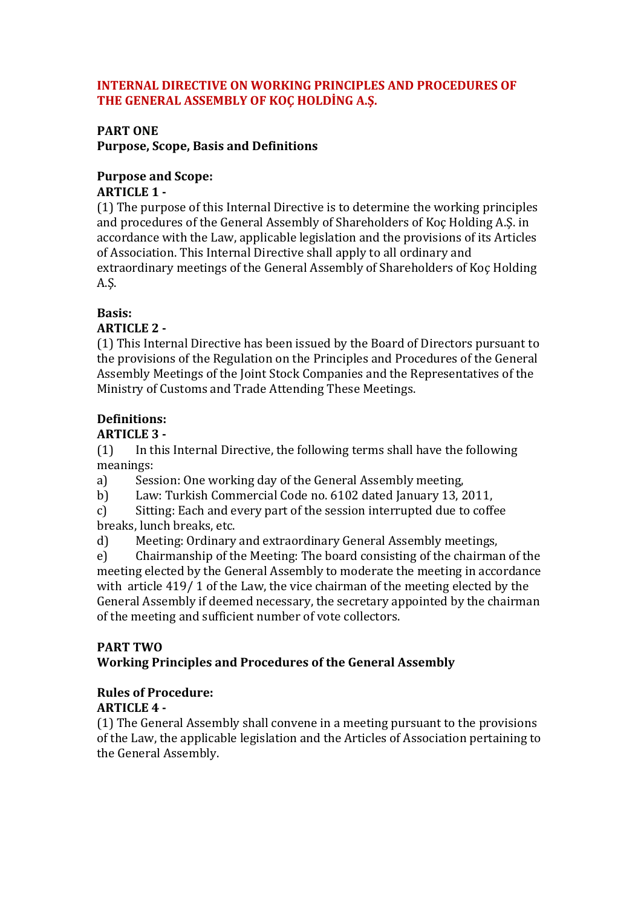#### **INTERNAL DIRECTIVE ON WORKING PRINCIPLES AND PROCEDURES OF THE GENERAL ASSEMBLY OF KOÇ HOLDİNG A.Ş.**

#### **PART ONE**

**Purpose, Scope, Basis and Definitions**

# **Purpose and Scope:**

#### **ARTICLE 1 -**

(1) The purpose of this Internal Directive is to determine the working principles and procedures of the General Assembly of Shareholders of Koç Holding A.Ş. in accordance with the Law, applicable legislation and the provisions of its Articles of Association. This Internal Directive shall apply to all ordinary and extraordinary meetings of the General Assembly of Shareholders of Koç Holding A.Ş.

#### **Basis:**

#### **ARTICLE 2 -**

(1) This Internal Directive has been issued by the Board of Directors pursuant to the provisions of the Regulation on the Principles and Procedures of the General Assembly Meetings of the Joint Stock Companies and the Representatives of the Ministry of Customs and Trade Attending These Meetings.

### **Definitions:**

#### **ARTICLE 3 -**

(1) In this Internal Directive, the following terms shall have the following meanings:

a) Session: One working day of the General Assembly meeting,

b) Law: Turkish Commercial Code no. 6102 dated January 13, 2011,

c) Sitting: Each and every part of the session interrupted due to coffee breaks, lunch breaks, etc.

d) Meeting: Ordinary and extraordinary General Assembly meetings,

e) Chairmanship of the Meeting: The board consisting of the chairman of the meeting elected by the General Assembly to moderate the meeting in accordance with article 419/ 1 of the Law, the vice chairman of the meeting elected by the General Assembly if deemed necessary, the secretary appointed by the chairman of the meeting and sufficient number of vote collectors.

# **PART TWO**

# **Working Principles and Procedures of the General Assembly**

# **Rules of Procedure:**

#### **ARTICLE 4 -**

(1) The General Assembly shall convene in a meeting pursuant to the provisions of the Law, the applicable legislation and the Articles of Association pertaining to the General Assembly.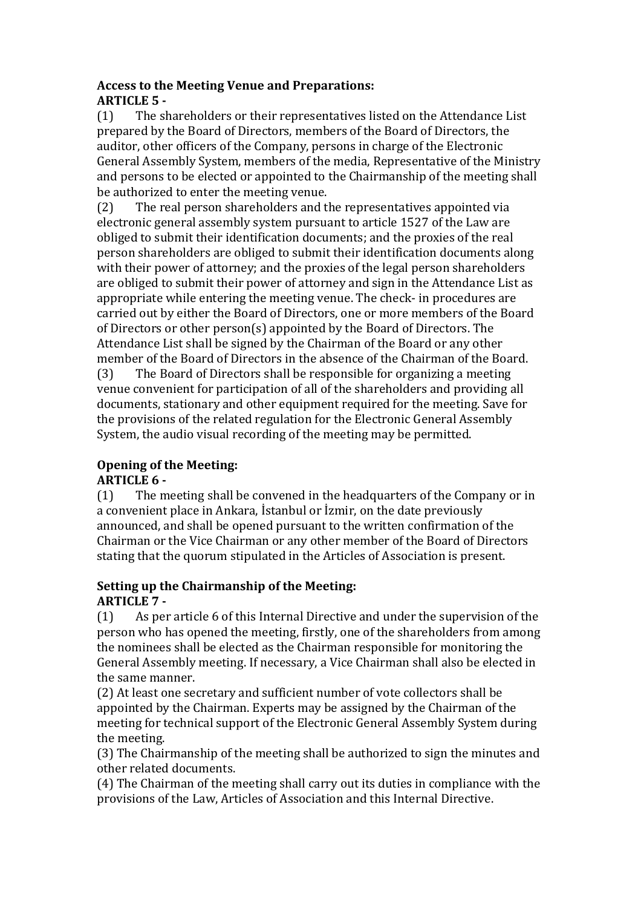#### **Access to the Meeting Venue and Preparations: ARTICLE 5 -**

(1) The shareholders or their representatives listed on the Attendance List prepared by the Board of Directors, members of the Board of Directors, the auditor, other officers of the Company, persons in charge of the Electronic General Assembly System, members of the media, Representative of the Ministry and persons to be elected or appointed to the Chairmanship of the meeting shall be authorized to enter the meeting venue.

(2) The real person shareholders and the representatives appointed via electronic general assembly system pursuant to article 1527 of the Law are obliged to submit their identification documents; and the proxies of the real person shareholders are obliged to submit their identification documents along with their power of attorney; and the proxies of the legal person shareholders are obliged to submit their power of attorney and sign in the Attendance List as appropriate while entering the meeting venue. The check- in procedures are carried out by either the Board of Directors, one or more members of the Board of Directors or other person(s) appointed by the Board of Directors. The Attendance List shall be signed by the Chairman of the Board or any other member of the Board of Directors in the absence of the Chairman of the Board.

(3) The Board of Directors shall be responsible for organizing a meeting venue convenient for participation of all of the shareholders and providing all documents, stationary and other equipment required for the meeting. Save for the provisions of the related regulation for the Electronic General Assembly System, the audio visual recording of the meeting may be permitted.

# **Opening of the Meeting:**

#### **ARTICLE 6 -**

(1) The meeting shall be convened in the headquarters of the Company or in a convenient place in Ankara, İstanbul or İzmir, on the date previously announced, and shall be opened pursuant to the written confirmation of the Chairman or the Vice Chairman or any other member of the Board of Directors stating that the quorum stipulated in the Articles of Association is present.

#### **Setting up the Chairmanship of the Meeting: ARTICLE 7 -**

(1) As per article 6 of this Internal Directive and under the supervision of the person who has opened the meeting, firstly, one of the shareholders from among the nominees shall be elected as the Chairman responsible for monitoring the General Assembly meeting. If necessary, a Vice Chairman shall also be elected in the same manner.

(2) At least one secretary and sufficient number of vote collectors shall be appointed by the Chairman. Experts may be assigned by the Chairman of the meeting for technical support of the Electronic General Assembly System during the meeting.

(3) The Chairmanship of the meeting shall be authorized to sign the minutes and other related documents.

(4) The Chairman of the meeting shall carry out its duties in compliance with the provisions of the Law, Articles of Association and this Internal Directive.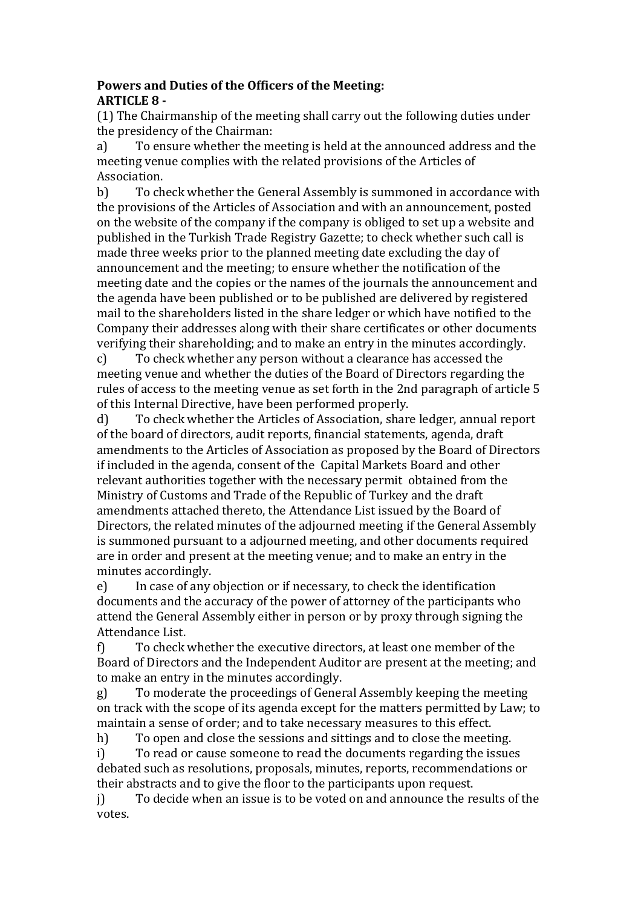#### **Powers and Duties of the Officers of the Meeting: ARTICLE 8 -**

(1) The Chairmanship of the meeting shall carry out the following duties under the presidency of the Chairman:

a) To ensure whether the meeting is held at the announced address and the meeting venue complies with the related provisions of the Articles of Association.

b) To check whether the General Assembly is summoned in accordance with the provisions of the Articles of Association and with an announcement, posted on the website of the company if the company is obliged to set up a website and published in the Turkish Trade Registry Gazette; to check whether such call is made three weeks prior to the planned meeting date excluding the day of announcement and the meeting; to ensure whether the notification of the meeting date and the copies or the names of the journals the announcement and the agenda have been published or to be published are delivered by registered mail to the shareholders listed in the share ledger or which have notified to the Company their addresses along with their share certificates or other documents verifying their shareholding; and to make an entry in the minutes accordingly.

c) To check whether any person without a clearance has accessed the meeting venue and whether the duties of the Board of Directors regarding the rules of access to the meeting venue as set forth in the 2nd paragraph of article 5 of this Internal Directive, have been performed properly.

d) To check whether the Articles of Association, share ledger, annual report of the board of directors, audit reports, financial statements, agenda, draft amendments to the Articles of Association as proposed by the Board of Directors if included in the agenda, consent of the Capital Markets Board and other relevant authorities together with the necessary permit obtained from the Ministry of Customs and Trade of the Republic of Turkey and the draft amendments attached thereto, the Attendance List issued by the Board of Directors, the related minutes of the adjourned meeting if the General Assembly is summoned pursuant to a adjourned meeting, and other documents required are in order and present at the meeting venue; and to make an entry in the minutes accordingly.

e) In case of any objection or if necessary, to check the identification documents and the accuracy of the power of attorney of the participants who attend the General Assembly either in person or by proxy through signing the Attendance List.

f) To check whether the executive directors, at least one member of the Board of Directors and the Independent Auditor are present at the meeting; and to make an entry in the minutes accordingly.

g) To moderate the proceedings of General Assembly keeping the meeting on track with the scope of its agenda except for the matters permitted by Law; to maintain a sense of order; and to take necessary measures to this effect.

h) To open and close the sessions and sittings and to close the meeting.

i) To read or cause someone to read the documents regarding the issues debated such as resolutions, proposals, minutes, reports, recommendations or their abstracts and to give the floor to the participants upon request.

j) To decide when an issue is to be voted on and announce the results of the votes.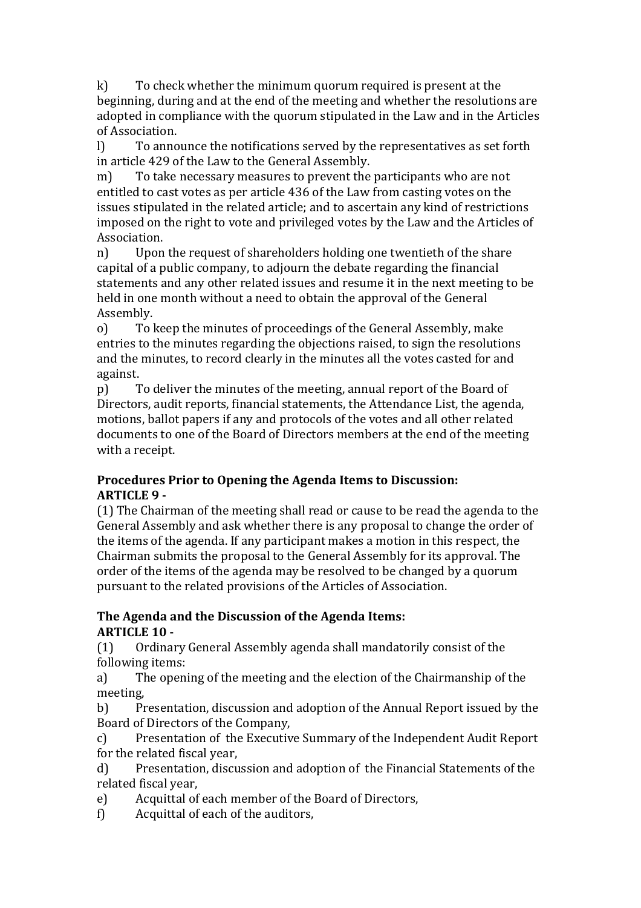k) To check whether the minimum quorum required is present at the beginning, during and at the end of the meeting and whether the resolutions are adopted in compliance with the quorum stipulated in the Law and in the Articles of Association.

l) To announce the notifications served by the representatives as set forth in article 429 of the Law to the General Assembly.

m) To take necessary measures to prevent the participants who are not entitled to cast votes as per article 436 of the Law from casting votes on the issues stipulated in the related article; and to ascertain any kind of restrictions imposed on the right to vote and privileged votes by the Law and the Articles of Association.

n) Upon the request of shareholders holding one twentieth of the share capital of a public company, to adjourn the debate regarding the financial statements and any other related issues and resume it in the next meeting to be held in one month without a need to obtain the approval of the General Assembly.

o) To keep the minutes of proceedings of the General Assembly, make entries to the minutes regarding the objections raised, to sign the resolutions and the minutes, to record clearly in the minutes all the votes casted for and against.

p) To deliver the minutes of the meeting, annual report of the Board of Directors, audit reports, financial statements, the Attendance List, the agenda, motions, ballot papers if any and protocols of the votes and all other related documents to one of the Board of Directors members at the end of the meeting with a receipt.

#### **Procedures Prior to Opening the Agenda Items to Discussion: ARTICLE 9 -**

(1) The Chairman of the meeting shall read or cause to be read the agenda to the General Assembly and ask whether there is any proposal to change the order of the items of the agenda. If any participant makes a motion in this respect, the Chairman submits the proposal to the General Assembly for its approval. The order of the items of the agenda may be resolved to be changed by a quorum pursuant to the related provisions of the Articles of Association.

#### **The Agenda and the Discussion of the Agenda Items: ARTICLE 10 -**

(1) Ordinary General Assembly agenda shall mandatorily consist of the following items:

a) The opening of the meeting and the election of the Chairmanship of the meeting,

b) Presentation, discussion and adoption of the Annual Report issued by the Board of Directors of the Company,

c) Presentation of the Executive Summary of the Independent Audit Report for the related fiscal year,

d) Presentation, discussion and adoption of the Financial Statements of the related fiscal year,

e) Acquittal of each member of the Board of Directors,

f) Acquittal of each of the auditors,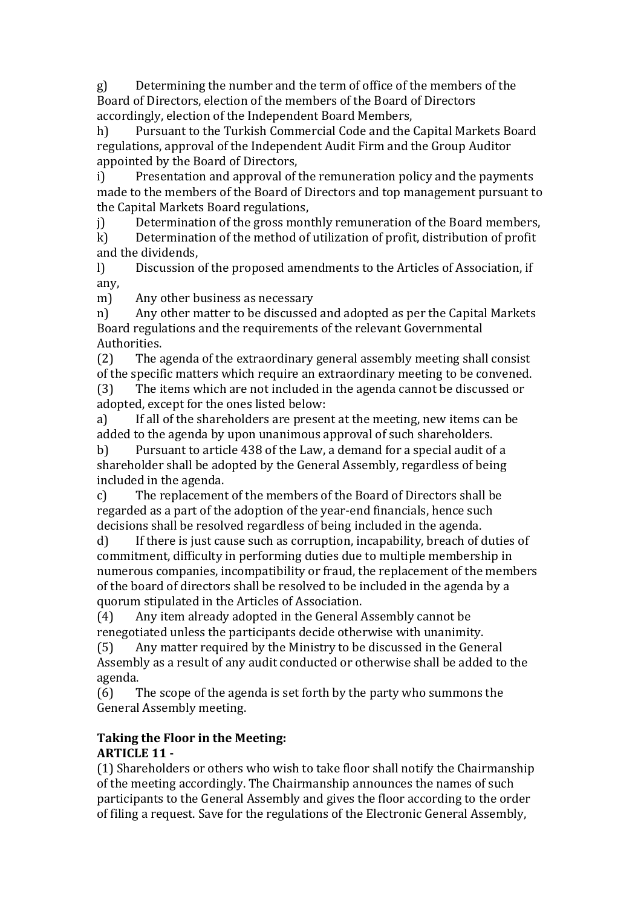g) Determining the number and the term of office of the members of the Board of Directors, election of the members of the Board of Directors accordingly, election of the Independent Board Members,

h) Pursuant to the Turkish Commercial Code and the Capital Markets Board regulations, approval of the Independent Audit Firm and the Group Auditor appointed by the Board of Directors,

i) Presentation and approval of the remuneration policy and the payments made to the members of the Board of Directors and top management pursuant to the Capital Markets Board regulations,

j) Determination of the gross monthly remuneration of the Board members,

k) Determination of the method of utilization of profit, distribution of profit and the dividends,

l) Discussion of the proposed amendments to the Articles of Association, if any,

m) Any other business as necessary

n) Any other matter to be discussed and adopted as per the Capital Markets Board regulations and the requirements of the relevant Governmental Authorities.

(2) The agenda of the extraordinary general assembly meeting shall consist of the specific matters which require an extraordinary meeting to be convened.

(3) The items which are not included in the agenda cannot be discussed or adopted, except for the ones listed below:

a) If all of the shareholders are present at the meeting, new items can be added to the agenda by upon unanimous approval of such shareholders.

b) Pursuant to article 438 of the Law, a demand for a special audit of a shareholder shall be adopted by the General Assembly, regardless of being included in the agenda.

c) The replacement of the members of the Board of Directors shall be regarded as a part of the adoption of the year-end financials, hence such decisions shall be resolved regardless of being included in the agenda.

d) If there is just cause such as corruption, incapability, breach of duties of commitment, difficulty in performing duties due to multiple membership in numerous companies, incompatibility or fraud, the replacement of the members of the board of directors shall be resolved to be included in the agenda by a quorum stipulated in the Articles of Association.

(4) Any item already adopted in the General Assembly cannot be renegotiated unless the participants decide otherwise with unanimity.

(5) Any matter required by the Ministry to be discussed in the General Assembly as a result of any audit conducted or otherwise shall be added to the agenda.

(6) The scope of the agenda is set forth by the party who summons the General Assembly meeting.

# **Taking the Floor in the Meeting:**

# **ARTICLE 11 -**

(1) Shareholders or others who wish to take floor shall notify the Chairmanship of the meeting accordingly. The Chairmanship announces the names of such participants to the General Assembly and gives the floor according to the order of filing a request. Save for the regulations of the Electronic General Assembly,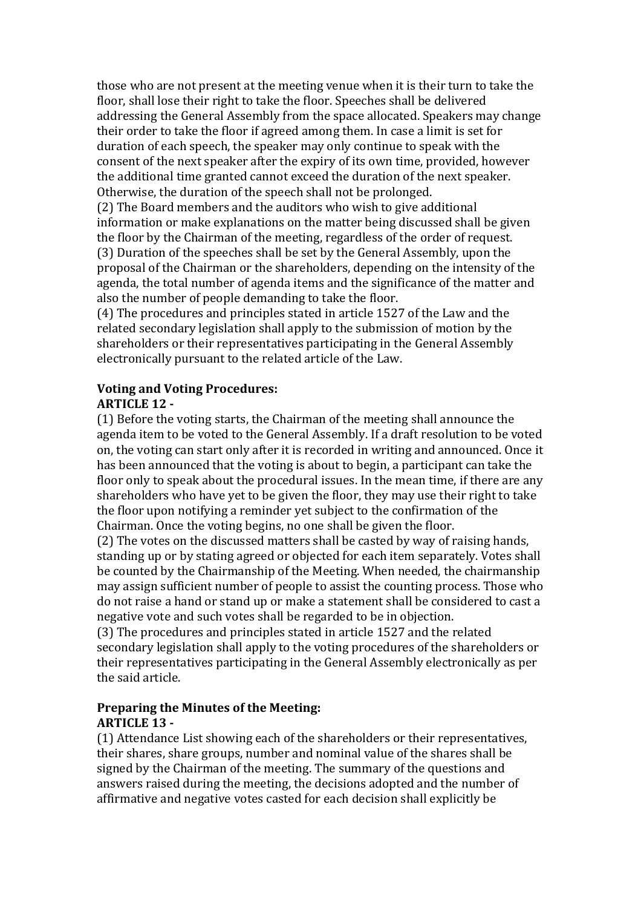those who are not present at the meeting venue when it is their turn to take the floor, shall lose their right to take the floor. Speeches shall be delivered addressing the General Assembly from the space allocated. Speakers may change their order to take the floor if agreed among them. In case a limit is set for duration of each speech, the speaker may only continue to speak with the consent of the next speaker after the expiry of its own time, provided, however the additional time granted cannot exceed the duration of the next speaker. Otherwise, the duration of the speech shall not be prolonged.

(2) The Board members and the auditors who wish to give additional information or make explanations on the matter being discussed shall be given the floor by the Chairman of the meeting, regardless of the order of request. (3) Duration of the speeches shall be set by the General Assembly, upon the proposal of the Chairman or the shareholders, depending on the intensity of the agenda, the total number of agenda items and the significance of the matter and also the number of people demanding to take the floor.

(4) The procedures and principles stated in article 1527 of the Law and the related secondary legislation shall apply to the submission of motion by the shareholders or their representatives participating in the General Assembly electronically pursuant to the related article of the Law.

#### **Voting and Voting Procedures: ARTICLE 12 -**

(1) Before the voting starts, the Chairman of the meeting shall announce the agenda item to be voted to the General Assembly. If a draft resolution to be voted on, the voting can start only after it is recorded in writing and announced. Once it has been announced that the voting is about to begin, a participant can take the floor only to speak about the procedural issues. In the mean time, if there are any shareholders who have yet to be given the floor, they may use their right to take the floor upon notifying a reminder yet subject to the confirmation of the Chairman. Once the voting begins, no one shall be given the floor.

(2) The votes on the discussed matters shall be casted by way of raising hands, standing up or by stating agreed or objected for each item separately. Votes shall be counted by the Chairmanship of the Meeting. When needed, the chairmanship may assign sufficient number of people to assist the counting process. Those who do not raise a hand or stand up or make a statement shall be considered to cast a negative vote and such votes shall be regarded to be in objection.

(3) The procedures and principles stated in article 1527 and the related secondary legislation shall apply to the voting procedures of the shareholders or their representatives participating in the General Assembly electronically as per the said article.

#### **Preparing the Minutes of the Meeting: ARTICLE 13 -**

(1) Attendance List showing each of the shareholders or their representatives, their shares, share groups, number and nominal value of the shares shall be signed by the Chairman of the meeting. The summary of the questions and answers raised during the meeting, the decisions adopted and the number of affirmative and negative votes casted for each decision shall explicitly be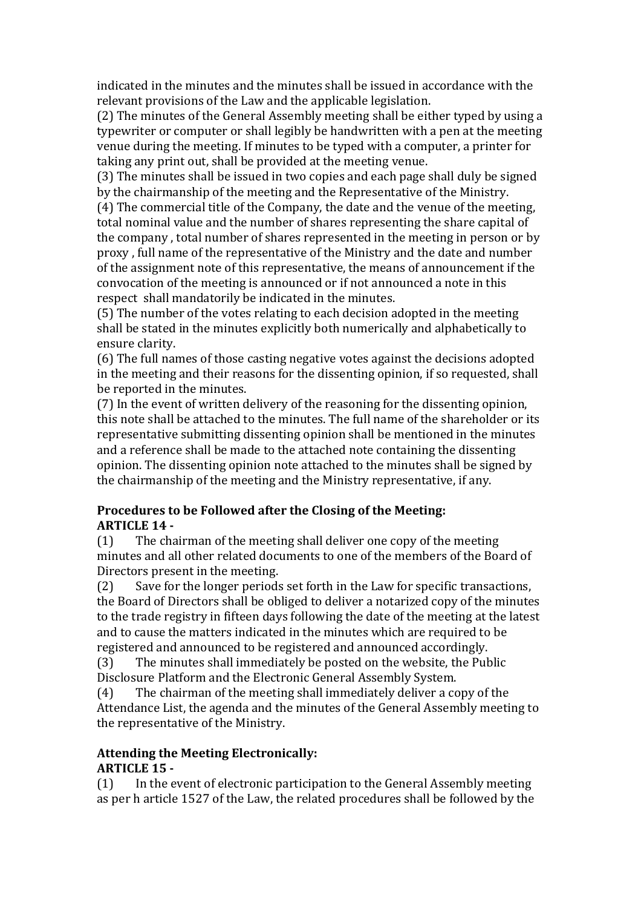indicated in the minutes and the minutes shall be issued in accordance with the relevant provisions of the Law and the applicable legislation.

(2) The minutes of the General Assembly meeting shall be either typed by using a typewriter or computer or shall legibly be handwritten with a pen at the meeting venue during the meeting. If minutes to be typed with a computer, a printer for taking any print out, shall be provided at the meeting venue.

(3) The minutes shall be issued in two copies and each page shall duly be signed by the chairmanship of the meeting and the Representative of the Ministry.

(4) The commercial title of the Company, the date and the venue of the meeting, total nominal value and the number of shares representing the share capital of the company , total number of shares represented in the meeting in person or by proxy , full name of the representative of the Ministry and the date and number of the assignment note of this representative, the means of announcement if the convocation of the meeting is announced or if not announced a note in this respect shall mandatorily be indicated in the minutes.

(5) The number of the votes relating to each decision adopted in the meeting shall be stated in the minutes explicitly both numerically and alphabetically to ensure clarity.

(6) The full names of those casting negative votes against the decisions adopted in the meeting and their reasons for the dissenting opinion, if so requested, shall be reported in the minutes.

(7) In the event of written delivery of the reasoning for the dissenting opinion, this note shall be attached to the minutes. The full name of the shareholder or its representative submitting dissenting opinion shall be mentioned in the minutes and a reference shall be made to the attached note containing the dissenting opinion. The dissenting opinion note attached to the minutes shall be signed by the chairmanship of the meeting and the Ministry representative, if any.

#### **Procedures to be Followed after the Closing of the Meeting: ARTICLE 14 -**

(1) The chairman of the meeting shall deliver one copy of the meeting minutes and all other related documents to one of the members of the Board of Directors present in the meeting.

(2) Save for the longer periods set forth in the Law for specific transactions, the Board of Directors shall be obliged to deliver a notarized copy of the minutes to the trade registry in fifteen days following the date of the meeting at the latest and to cause the matters indicated in the minutes which are required to be registered and announced to be registered and announced accordingly.

(3) The minutes shall immediately be posted on the website, the Public Disclosure Platform and the Electronic General Assembly System.

(4) The chairman of the meeting shall immediately deliver a copy of the Attendance List, the agenda and the minutes of the General Assembly meeting to the representative of the Ministry.

#### **Attending the Meeting Electronically: ARTICLE 15 -**

(1) In the event of electronic participation to the General Assembly meeting as per h article 1527 of the Law, the related procedures shall be followed by the